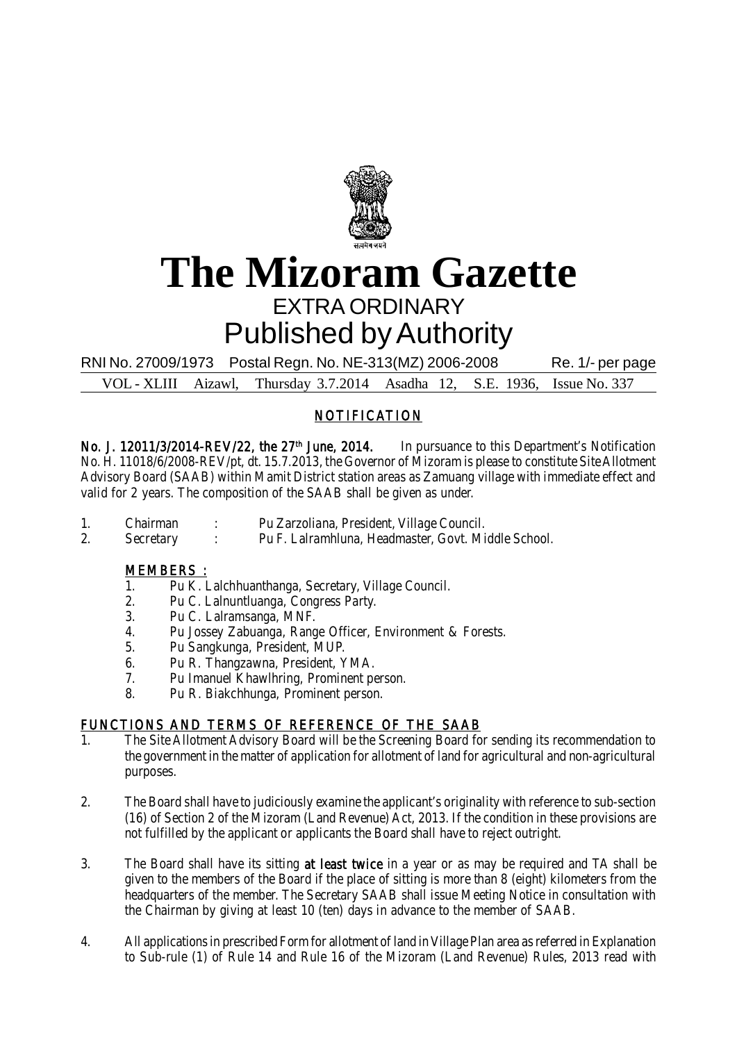

# **The Mizoram Gazette** EXTRA ORDINARY Published by Authority

RNI No. 27009/1973 Postal Regn. No. NE-313(MZ) 2006-2008 Re. 1/- per page

VOL - XLIII Aizawl, Thursday 3.7.2014 Asadha 12, S.E. 1936, Issue No. 337

## NOTIFICATION

No. J. 12011/3/2014-REV/22, the 27<sup>th</sup> June, 2014. In pursuance to this Department's Notification No. H. 11018/6/2008-REV/pt, dt. 15.7.2013, the Governor of Mizoram is please to constitute Site Allotment Advisory Board (SAAB) within Mamit District station areas as Zamuang village with immediate effect and valid for 2 years. The composition of the SAAB shall be given as under.

- 1. Chairman : Pu Zarzoliana, President, Village Council.
- 2. Secretary : Pu F. Lalramhluna, Headmaster, Govt. Middle School.

#### MEMBERS :

- 1. Pu K. Lalchhuanthanga, Secretary, Village Council.
- 2. Pu C. Lalnuntluanga, Congress Party.
- 3. Pu C. Lalramsanga, MNF.
- 4. Pu Jossey Zabuanga, Range Officer, Environment & Forests.
- 5. Pu Sangkunga, President, MUP.
- 6. Pu R. Thangzawna, President, YMA.
- 7. Pu Imanuel Khawlhring, Prominent person.
- 8. Pu R. Biakchhunga, Prominent person.

### FUNCTIONS AND TERMS OF REFERENCE OF THE SAAB

- 1. The Site Allotment Advisory Board will be the Screening Board for sending its recommendation to the government in the matter of application for allotment of land for agricultural and non-agricultural purposes.
- 2. The Board shall have to judiciously examine the applicant's originality with reference to sub-section (16) of Section 2 of the Mizoram (Land Revenue) Act, 2013. If the condition in these provisions are not fulfilled by the applicant or applicants the Board shall have to reject outright.
- 3. The Board shall have its sitting at least twice in a year or as may be required and TA shall be given to the members of the Board if the place of sitting is more than 8 (eight) kilometers from the headquarters of the member. The Secretary SAAB shall issue Meeting Notice in consultation with the Chairman by giving at least 10 (ten) days in advance to the member of SAAB.
- 4. All applications in prescribed Form for allotment of land in Village Plan area as referred in Explanation to Sub-rule (1) of Rule 14 and Rule 16 of the Mizoram (Land Revenue) Rules, 2013 read with